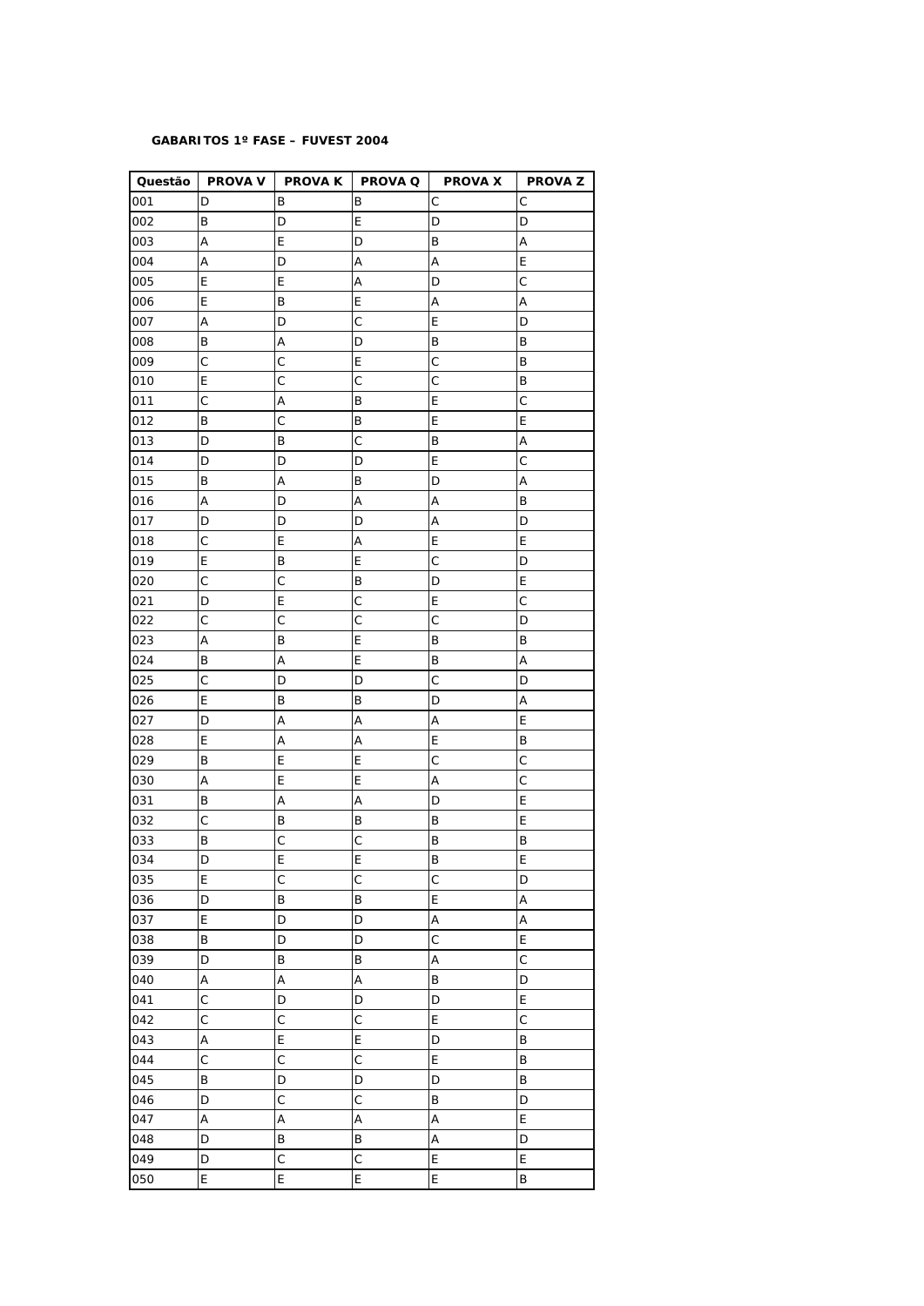## **GABARITOS 1º FASE – FUVEST 2004**

|            |                   |                   | Questão   PROVA V   PROVA K   PROVA Q | PROVA X   PROVA Z         |              |
|------------|-------------------|-------------------|---------------------------------------|---------------------------|--------------|
| 001        | D                 | Β                 | B                                     | С                         | С            |
| 002        | B                 | D                 | Ε                                     | D                         | D            |
| 003        | A                 | E                 | D                                     | B                         | А            |
| 004        | Α                 | D                 | А                                     | A                         | E            |
| 005        | Ε                 | Ε                 | Α                                     | D                         | $\mathsf C$  |
| 006        | E                 | B                 | E                                     | A                         | А            |
| 007        | Α                 | D                 | C                                     | E                         | D            |
| 008        | В                 | А                 | D                                     | B                         | B            |
| 009        | $\mathsf{C}$      | C                 | Ε                                     | $\mathsf{C}$              | B            |
| 010        | E                 | $\mathsf{C}$      | $\mathsf{C}$                          | $\mathsf{C}$              | B            |
| 011        | $\mathsf C$       | Α                 | В                                     | E                         | $\mathsf C$  |
| 012        | В                 | С                 | В                                     | Ε                         | E            |
| 013        | D                 | B                 | $\mathsf C$                           | $\sf B$                   | А            |
| 014        | D                 | D                 | D                                     | E                         | С            |
| 015        | В                 | А                 | В                                     | D                         | Α            |
| 016        | Α                 | D                 | Α                                     | Α                         | B            |
| 017        | D                 | D                 | D                                     | A                         | D            |
| 018        | $\mathsf{C}$      | E                 | Α                                     | E                         | E            |
| 019        | Ε                 | B                 | Ε                                     | C                         | D            |
| 020        | $\mathsf{C}$      | $\mathsf{C}$      | B                                     | D                         | E            |
| 021        | D                 | E                 | $\mathsf C$                           | E                         | $\mathsf{C}$ |
| 022        | $\mathsf C$       | C                 | $\mathsf C$                           | $\mathsf C$               | D            |
| 023        | Α                 | B                 | Ε                                     | B                         | B            |
| 024        | B                 | Α                 | E                                     | B                         | Α            |
| 025        | $\mathsf C$       | D                 | D                                     | C                         | D            |
| 026        | Ε                 | Β                 | В                                     | D                         | А            |
| 027        | D                 | А                 | Α                                     | Α                         | E            |
| 028        | E                 | Α                 | А                                     | E                         | B            |
| 029        | В                 | E                 | Ε                                     | $\mathsf C$               | С            |
| 030        | Α                 | E                 | E                                     | Α                         | C            |
| 031        | B                 | А                 | Α                                     | D                         | E            |
| 032        | $\mathsf C$       | B                 | В                                     | B                         | E            |
| 033        | B                 | $\mathsf{C}$      | $\mathsf C$                           | B                         | B            |
| 034        | D                 | E                 | E                                     | B                         | E            |
| 035        | E                 | C                 | $\mathsf{C}$                          | $\mathsf C$               | D            |
|            | D                 | B                 |                                       | E                         |              |
| 036<br>037 | E                 | D                 | Β<br>D                                | $\boldsymbol{\mathsf{A}}$ | Α<br>Α       |
| 038        | B                 |                   | D                                     | $\mathsf{C}$              | $\mathsf E$  |
|            | D                 | D<br>B            | B                                     | $\boldsymbol{\mathsf{A}}$ | $\mathsf{C}$ |
| 039        | A                 | Α                 | Α                                     | $\sf B$                   | D            |
| 040        | $\mathsf{C}$      | D                 | D                                     | D                         | E            |
| 041        | $\mathsf{C}$      | $\mathsf{C}$      | $\mathsf{C}$                          | E                         | $\mathsf C$  |
| 042        |                   |                   |                                       |                           |              |
| 043        | A<br>$\mathsf{C}$ | E<br>$\mathsf{C}$ | E<br>$\mathsf{C}$                     | D<br>E                    | B            |
| 044        |                   |                   |                                       |                           | $\sf B$      |
| 045        | B                 | D                 | D                                     | D                         | B            |
| 046        | D                 | $\mathsf{C}$      | $\mathsf C$                           | B                         | D            |
| 047        | A                 | A                 | Α                                     | A                         | $\mathsf E$  |
| 048        | D                 | B                 | B                                     | A                         | D            |
| 049        | D                 | $\mathsf{C}$      | $\mathsf C$                           | E                         | E            |
| 050        | E                 | E                 | E                                     | E                         | B            |